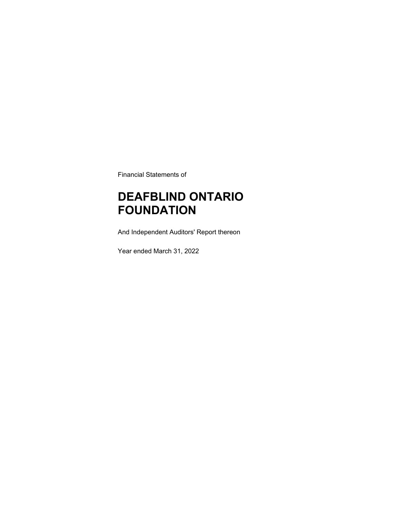Financial Statements of

### **DEAFBLIND ONTARIO FOUNDATION**

And Independent Auditors' Report thereon

Year ended March 31, 2022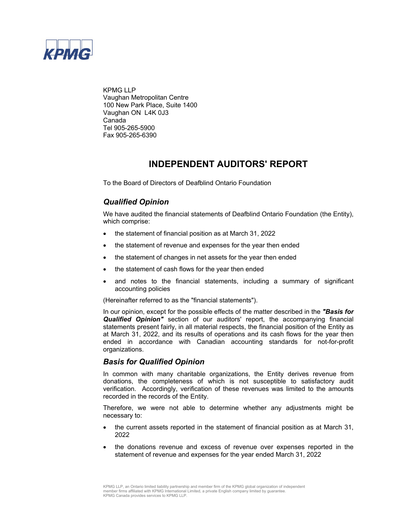

KPMG LLP Vaughan Metropolitan Centre 100 New Park Place, Suite 1400 Vaughan ON L4K 0J3 Canada Tel 905-265-5900 Fax 905-265-6390

### **INDEPENDENT AUDITORS' REPORT**

To the Board of Directors of Deafblind Ontario Foundation

### *Qualified Opinion*

We have audited the financial statements of Deafblind Ontario Foundation (the Entity), which comprise:

- the statement of financial position as at March 31, 2022
- the statement of revenue and expenses for the year then ended
- the statement of changes in net assets for the year then ended
- the statement of cash flows for the year then ended
- and notes to the financial statements, including a summary of significant accounting policies

(Hereinafter referred to as the "financial statements").

In our opinion, except for the possible effects of the matter described in the *"Basis for Qualified Opinion"* section of our auditors' report, the accompanying financial statements present fairly, in all material respects, the financial position of the Entity as at March 31, 2022, and its results of operations and its cash flows for the year then ended in accordance with Canadian accounting standards for not-for-profit organizations.

### *Basis for Qualified Opinion*

In common with many charitable organizations, the Entity derives revenue from donations, the completeness of which is not susceptible to satisfactory audit verification. Accordingly, verification of these revenues was limited to the amounts recorded in the records of the Entity.

Therefore, we were not able to determine whether any adjustments might be necessary to:

- the current assets reported in the statement of financial position as at March 31, 2022
- the donations revenue and excess of revenue over expenses reported in the statement of revenue and expenses for the year ended March 31, 2022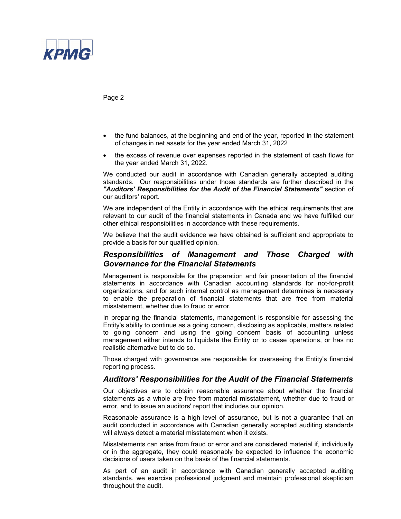

Page 2

- the fund balances, at the beginning and end of the year, reported in the statement of changes in net assets for the year ended March 31, 2022
- the excess of revenue over expenses reported in the statement of cash flows for the year ended March 31, 2022.

We conducted our audit in accordance with Canadian generally accepted auditing standards. Our responsibilities under those standards are further described in the *"Auditors' Responsibilities for the Audit of the Financial Statements"* section of our auditors' report.

We are independent of the Entity in accordance with the ethical requirements that are relevant to our audit of the financial statements in Canada and we have fulfilled our other ethical responsibilities in accordance with these requirements.

We believe that the audit evidence we have obtained is sufficient and appropriate to provide a basis for our qualified opinion.

#### *Responsibilities of Management and Those Charged with Governance for the Financial Statements*

Management is responsible for the preparation and fair presentation of the financial statements in accordance with Canadian accounting standards for not-for-profit organizations, and for such internal control as management determines is necessary to enable the preparation of financial statements that are free from material misstatement, whether due to fraud or error.

In preparing the financial statements, management is responsible for assessing the Entity's ability to continue as a going concern, disclosing as applicable, matters related to going concern and using the going concern basis of accounting unless management either intends to liquidate the Entity or to cease operations, or has no realistic alternative but to do so.

Those charged with governance are responsible for overseeing the Entity's financial reporting process.

#### *Auditors' Responsibilities for the Audit of the Financial Statements*

Our objectives are to obtain reasonable assurance about whether the financial statements as a whole are free from material misstatement, whether due to fraud or error, and to issue an auditors' report that includes our opinion.

Reasonable assurance is a high level of assurance, but is not a guarantee that an audit conducted in accordance with Canadian generally accepted auditing standards will always detect a material misstatement when it exists.

Misstatements can arise from fraud or error and are considered material if, individually or in the aggregate, they could reasonably be expected to influence the economic decisions of users taken on the basis of the financial statements.

As part of an audit in accordance with Canadian generally accepted auditing standards, we exercise professional judgment and maintain professional skepticism throughout the audit.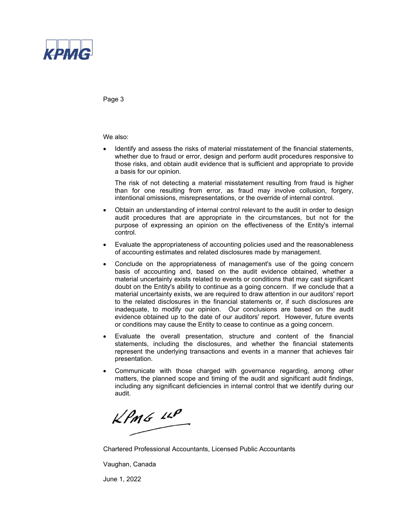

Page 3

We also:

• Identify and assess the risks of material misstatement of the financial statements, whether due to fraud or error, design and perform audit procedures responsive to those risks, and obtain audit evidence that is sufficient and appropriate to provide a basis for our opinion.

The risk of not detecting a material misstatement resulting from fraud is higher than for one resulting from error, as fraud may involve collusion, forgery, intentional omissions, misrepresentations, or the override of internal control.

- Obtain an understanding of internal control relevant to the audit in order to design audit procedures that are appropriate in the circumstances, but not for the purpose of expressing an opinion on the effectiveness of the Entity's internal control.
- Evaluate the appropriateness of accounting policies used and the reasonableness of accounting estimates and related disclosures made by management.
- Conclude on the appropriateness of management's use of the going concern basis of accounting and, based on the audit evidence obtained, whether a material uncertainty exists related to events or conditions that may cast significant doubt on the Entity's ability to continue as a going concern. If we conclude that a material uncertainty exists, we are required to draw attention in our auditors' report to the related disclosures in the financial statements or, if such disclosures are inadequate, to modify our opinion. Our conclusions are based on the audit evidence obtained up to the date of our auditors' report. However, future events or conditions may cause the Entity to cease to continue as a going concern.
- Evaluate the overall presentation, structure and content of the financial statements, including the disclosures, and whether the financial statements represent the underlying transactions and events in a manner that achieves fair presentation.
- Communicate with those charged with governance regarding, among other matters, the planned scope and timing of the audit and significant audit findings, including any significant deficiencies in internal control that we identify during our audit.

 $kPm6$  11P

Chartered Professional Accountants, Licensed Public Accountants

Vaughan, Canada

June 1, 2022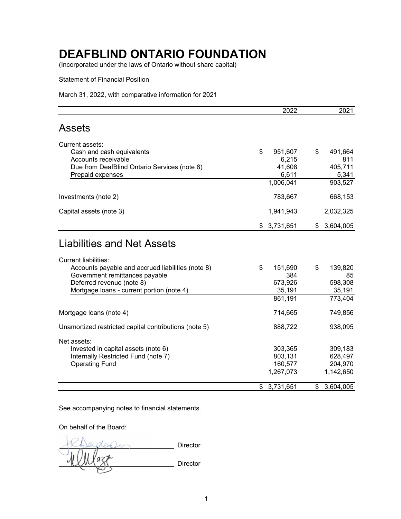(Incorporated under the laws of Ontario without share capital)

Statement of Financial Position

March 31, 2022, with comparative information for 2021

|                                                                                                                                                                                              | 2022                                      | 2021                                     |
|----------------------------------------------------------------------------------------------------------------------------------------------------------------------------------------------|-------------------------------------------|------------------------------------------|
| <b>Assets</b>                                                                                                                                                                                |                                           |                                          |
| Current assets:                                                                                                                                                                              |                                           |                                          |
| Cash and cash equivalents                                                                                                                                                                    | \$<br>951,607                             | \$<br>491,664                            |
| Accounts receivable                                                                                                                                                                          | 6,215                                     | 811                                      |
| Due from DeafBlind Ontario Services (note 8)                                                                                                                                                 | 41,608                                    | 405,711                                  |
| Prepaid expenses                                                                                                                                                                             | 6,611                                     | 5,341                                    |
|                                                                                                                                                                                              | 1,006,041                                 | 903,527                                  |
| Investments (note 2)                                                                                                                                                                         | 783,667                                   | 668,153                                  |
| Capital assets (note 3)                                                                                                                                                                      | 1,941,943                                 | 2,032,325                                |
|                                                                                                                                                                                              | \$3,731,651                               | 3,604,005<br>\$                          |
| <b>Current liabilities:</b><br>Accounts payable and accrued liabilities (note 8)<br>Government remittances payable<br>Deferred revenue (note 8)<br>Mortgage loans - current portion (note 4) | \$<br>151,690<br>384<br>673,926<br>35,191 | 139,820<br>\$<br>85<br>598,308<br>35,191 |
|                                                                                                                                                                                              | 861,191                                   | 773,404                                  |
| Mortgage loans (note 4)                                                                                                                                                                      | 714,665                                   | 749,856                                  |
| Unamortized restricted capital contributions (note 5)                                                                                                                                        | 888,722                                   | 938,095                                  |
| Net assets:                                                                                                                                                                                  |                                           |                                          |
| Invested in capital assets (note 6)                                                                                                                                                          | 303,365                                   | 309,183                                  |
| Internally Restricted Fund (note 7)                                                                                                                                                          | 803,131                                   | 628,497                                  |
| <b>Operating Fund</b>                                                                                                                                                                        | 160,577                                   | 204,970                                  |
|                                                                                                                                                                                              | 1,267,073                                 | 1,142,650                                |
|                                                                                                                                                                                              | \$<br>3,731,651                           | 3,604,005<br>\$                          |

See accompanying notes to financial statements.

On behalf of the Board:

 $\omega$  Director **Director**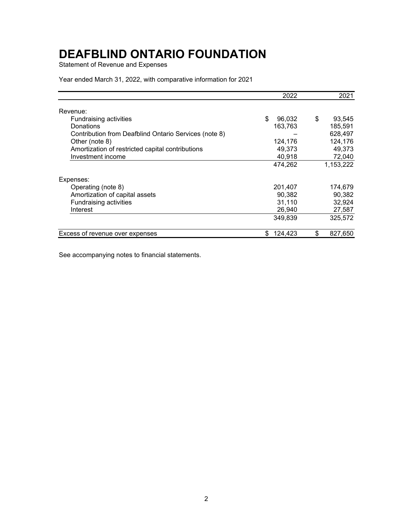Statement of Revenue and Expenses

Year ended March 31, 2022, with comparative information for 2021

|                                                       | 2022          | 2021          |
|-------------------------------------------------------|---------------|---------------|
| Revenue:                                              |               |               |
| Fundraising activities                                | \$<br>96,032  | \$<br>93,545  |
| Donations                                             | 163,763       | 185,591       |
| Contribution from Deafblind Ontario Services (note 8) |               | 628,497       |
| Other (note 8)                                        | 124,176       | 124,176       |
| Amortization of restricted capital contributions      | 49,373        | 49,373        |
| Investment income                                     | 40,918        | 72,040        |
|                                                       | 474,262       | 1,153,222     |
| Expenses:                                             |               |               |
| Operating (note 8)                                    | 201,407       | 174,679       |
| Amortization of capital assets                        | 90.382        | 90,382        |
| Fundraising activities                                | 31,110        | 32,924        |
| Interest                                              | 26,940        | 27,587        |
|                                                       | 349,839       | 325,572       |
| Excess of revenue over expenses                       | \$<br>124,423 | \$<br>827,650 |

See accompanying notes to financial statements.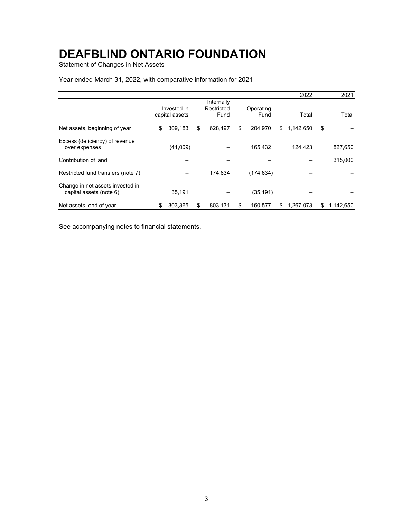Statement of Changes in Net Assets

#### Year ended March 31, 2022, with comparative information for 2021

|                                                             |                               |                                  |                   | 2022            | 2021            |
|-------------------------------------------------------------|-------------------------------|----------------------------------|-------------------|-----------------|-----------------|
|                                                             | Invested in<br>capital assets | Internally<br>Restricted<br>Fund | Operating<br>Fund | Total           | Total           |
| Net assets, beginning of year                               | \$<br>309,183                 | \$<br>628,497                    | \$<br>204.970     | \$<br>1,142,650 | \$              |
| Excess (deficiency) of revenue<br>over expenses             | (41,009)                      |                                  | 165.432           | 124,423         | 827,650         |
| Contribution of land                                        |                               |                                  |                   |                 | 315,000         |
| Restricted fund transfers (note 7)                          |                               | 174,634                          | (174, 634)        |                 |                 |
| Change in net assets invested in<br>capital assets (note 6) | 35,191                        |                                  | (35, 191)         |                 |                 |
| Net assets, end of year                                     | \$<br>303,365                 | \$<br>803.131                    | \$<br>160.577     | \$<br>1,267,073 | \$<br>1.142.650 |

See accompanying notes to financial statements.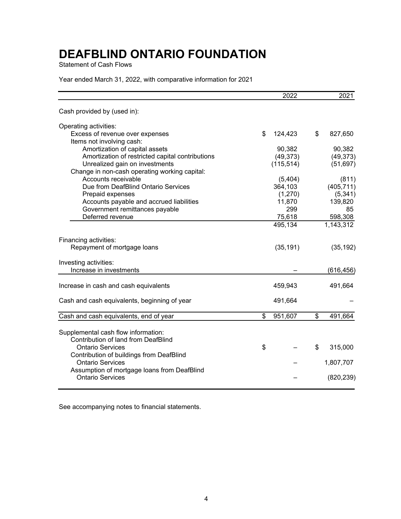Statement of Cash Flows

Year ended March 31, 2022, with comparative information for 2021

|                                                              | 2022          | 2021          |
|--------------------------------------------------------------|---------------|---------------|
| Cash provided by (used in):                                  |               |               |
| Operating activities:                                        |               |               |
| Excess of revenue over expenses<br>Items not involving cash: | \$<br>124,423 | \$<br>827,650 |
| Amortization of capital assets                               | 90,382        | 90,382        |
| Amortization of restricted capital contributions             | (49, 373)     | (49, 373)     |
| Unrealized gain on investments                               | (115, 514)    | (51, 697)     |
| Change in non-cash operating working capital:                |               |               |
| Accounts receivable                                          | (5,404)       | (811)         |
| Due from DeafBlind Ontario Services                          | 364,103       | (405, 711)    |
| Prepaid expenses                                             | (1,270)       | (5, 341)      |
| Accounts payable and accrued liabilities                     | 11,870        | 139,820       |
| Government remittances payable                               | 299           | 85            |
| Deferred revenue                                             | 75,618        | 598,308       |
|                                                              | 495,134       | 1,143,312     |
| Financing activities:                                        |               |               |
| Repayment of mortgage loans                                  | (35, 191)     | (35, 192)     |
| Investing activities:                                        |               |               |
| Increase in investments                                      |               | (616, 456)    |
| Increase in cash and cash equivalents                        | 459,943       | 491,664       |
| Cash and cash equivalents, beginning of year                 | 491,664       |               |
| Cash and cash equivalents, end of year                       | \$<br>951,607 | \$<br>491,664 |
|                                                              |               |               |
| Supplemental cash flow information:                          |               |               |
| <b>Contribution of land from DeafBlind</b>                   |               |               |
| <b>Ontario Services</b>                                      | \$            | \$<br>315,000 |
| Contribution of buildings from DeafBlind                     |               |               |
| <b>Ontario Services</b>                                      |               | 1,807,707     |
| Assumption of mortgage loans from DeafBlind                  |               |               |
| <b>Ontario Services</b>                                      |               | (820, 239)    |
|                                                              |               |               |

See accompanying notes to financial statements.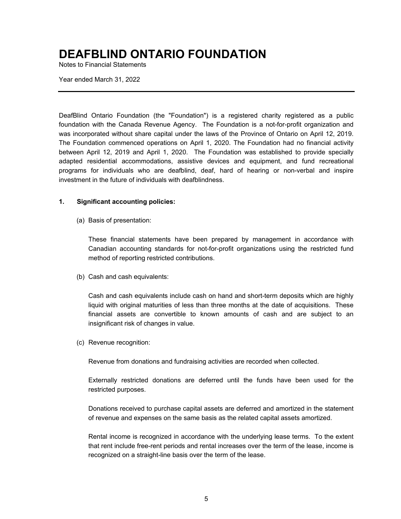Notes to Financial Statements

Year ended March 31, 2022

DeafBlind Ontario Foundation (the "Foundation") is a registered charity registered as a public foundation with the Canada Revenue Agency. The Foundation is a not-for-profit organization and was incorporated without share capital under the laws of the Province of Ontario on April 12, 2019. The Foundation commenced operations on April 1, 2020. The Foundation had no financial activity between April 12, 2019 and April 1, 2020. The Foundation was established to provide specially adapted residential accommodations, assistive devices and equipment, and fund recreational programs for individuals who are deafblind, deaf, hard of hearing or non-verbal and inspire investment in the future of individuals with deafblindness.

#### **1. Significant accounting policies:**

(a) Basis of presentation:

These financial statements have been prepared by management in accordance with Canadian accounting standards for not-for-profit organizations using the restricted fund method of reporting restricted contributions.

(b) Cash and cash equivalents:

Cash and cash equivalents include cash on hand and short-term deposits which are highly liquid with original maturities of less than three months at the date of acquisitions. These financial assets are convertible to known amounts of cash and are subject to an insignificant risk of changes in value.

(c) Revenue recognition:

Revenue from donations and fundraising activities are recorded when collected.

Externally restricted donations are deferred until the funds have been used for the restricted purposes.

Donations received to purchase capital assets are deferred and amortized in the statement of revenue and expenses on the same basis as the related capital assets amortized.

Rental income is recognized in accordance with the underlying lease terms. To the extent that rent include free-rent periods and rental increases over the term of the lease, income is recognized on a straight-line basis over the term of the lease.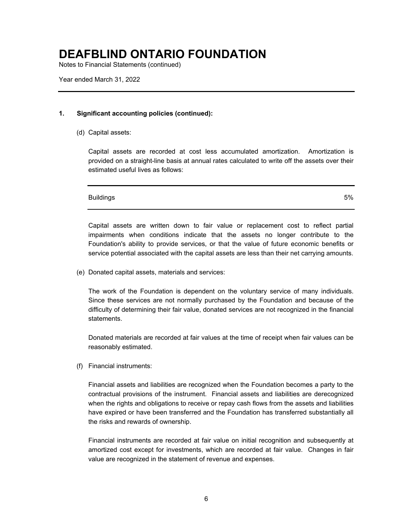Notes to Financial Statements (continued)

Year ended March 31, 2022

#### **1. Significant accounting policies (continued):**

(d) Capital assets:

Capital assets are recorded at cost less accumulated amortization. Amortization is provided on a straight-line basis at annual rates calculated to write off the assets over their estimated useful lives as follows:

Buildings 5%

Capital assets are written down to fair value or replacement cost to reflect partial impairments when conditions indicate that the assets no longer contribute to the Foundation's ability to provide services, or that the value of future economic benefits or service potential associated with the capital assets are less than their net carrying amounts.

(e) Donated capital assets, materials and services:

The work of the Foundation is dependent on the voluntary service of many individuals. Since these services are not normally purchased by the Foundation and because of the difficulty of determining their fair value, donated services are not recognized in the financial statements.

Donated materials are recorded at fair values at the time of receipt when fair values can be reasonably estimated.

(f) Financial instruments:

Financial assets and liabilities are recognized when the Foundation becomes a party to the contractual provisions of the instrument. Financial assets and liabilities are derecognized when the rights and obligations to receive or repay cash flows from the assets and liabilities have expired or have been transferred and the Foundation has transferred substantially all the risks and rewards of ownership.

Financial instruments are recorded at fair value on initial recognition and subsequently at amortized cost except for investments, which are recorded at fair value. Changes in fair value are recognized in the statement of revenue and expenses.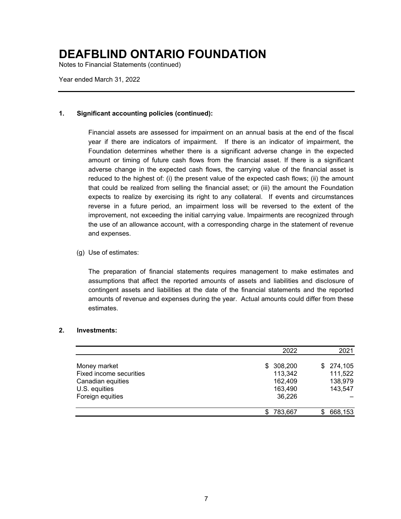Notes to Financial Statements (continued)

Year ended March 31, 2022

#### **1. Significant accounting policies (continued):**

Financial assets are assessed for impairment on an annual basis at the end of the fiscal year if there are indicators of impairment. If there is an indicator of impairment, the Foundation determines whether there is a significant adverse change in the expected amount or timing of future cash flows from the financial asset. If there is a significant adverse change in the expected cash flows, the carrying value of the financial asset is reduced to the highest of: (i) the present value of the expected cash flows; (ii) the amount that could be realized from selling the financial asset; or (iii) the amount the Foundation expects to realize by exercising its right to any collateral. If events and circumstances reverse in a future period, an impairment loss will be reversed to the extent of the improvement, not exceeding the initial carrying value. Impairments are recognized through the use of an allowance account, with a corresponding charge in the statement of revenue and expenses.

(g) Use of estimates:

The preparation of financial statements requires management to make estimates and assumptions that affect the reported amounts of assets and liabilities and disclosure of contingent assets and liabilities at the date of the financial statements and the reported amounts of revenue and expenses during the year. Actual amounts could differ from these estimates.

#### **2. Investments:**

|                                                                                                   | 2022                                                  | 2021                                       |
|---------------------------------------------------------------------------------------------------|-------------------------------------------------------|--------------------------------------------|
| Money market<br>Fixed income securities<br>Canadian equities<br>U.S. equities<br>Foreign equities | \$ 308,200<br>113,342<br>162,409<br>163,490<br>36,226 | \$274,105<br>111,522<br>138,979<br>143,547 |
|                                                                                                   | 783.667                                               | 668,153                                    |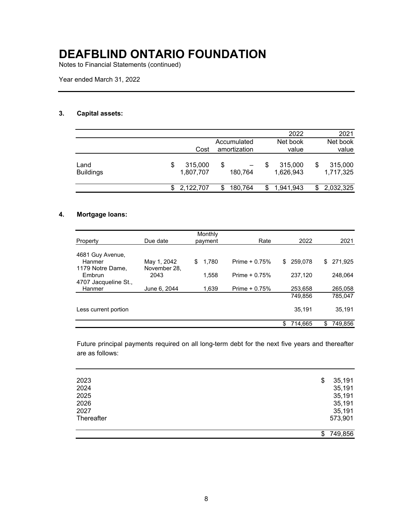Notes to Financial Statements (continued)

Year ended March 31, 2022

### **3. Capital assets:**

|                          |                           |      |                             |   | 2022                 |   | 2021                 |
|--------------------------|---------------------------|------|-----------------------------|---|----------------------|---|----------------------|
|                          |                           | Cost | Accumulated<br>amortization |   | Net book<br>value    |   | Net book<br>value    |
| Land<br><b>Buildings</b> | 315,000<br>S<br>1,807,707 | S    | 180.764                     | S | 315,000<br>1,626,943 | S | 315,000<br>1,717,325 |
|                          | 2,122,707                 | \$   | 180,764                     |   | 1,941,943            | S | 2,032,325            |

### **4. Mortgage loans:**

|                      | Due date     | Monthly     | Rate           | 2022          | 2021           |
|----------------------|--------------|-------------|----------------|---------------|----------------|
| Property             |              | payment     |                |               |                |
| 4681 Guy Avenue,     |              |             |                |               |                |
| Hanmer               | May 1, 2042  | 1,780<br>\$ | Prime $+0.75%$ | 259,078<br>\$ | 271,925<br>\$. |
| 1179 Notre Dame,     | November 28, |             |                |               |                |
| Embrun               | 2043         | 1,558       | Prime $+0.75%$ | 237,120       | 248,064        |
| 4707 Jacqueline St., |              |             |                |               |                |
| Hanmer               | June 6, 2044 | 1,639       | Prime $+0.75%$ | 253,658       | 265,058        |
|                      |              |             |                | 749,856       | 785,047        |
|                      |              |             |                |               |                |
| Less current portion |              |             |                | 35,191        | 35,191         |
|                      |              |             |                | 714,665<br>\$ | 749,856<br>S   |

Future principal payments required on all long-term debt for the next five years and thereafter are as follows:

| 2023       | \$<br>35,191  |
|------------|---------------|
| 2024       | 35,191        |
| 2025       | 35,191        |
| 2026       | 35,191        |
| 2027       | 35,191        |
| Thereafter | 573,901       |
|            | \$<br>749,856 |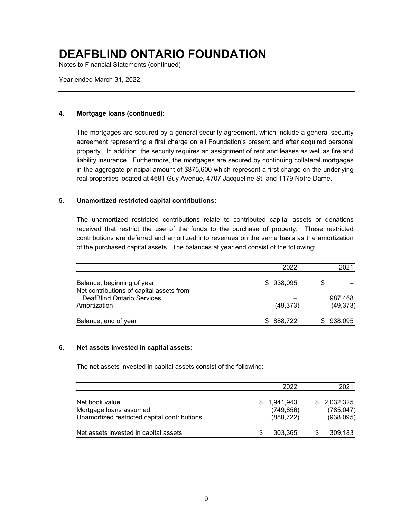Notes to Financial Statements (continued)

Year ended March 31, 2022

#### **4. Mortgage loans (continued):**

The mortgages are secured by a general security agreement, which include a general security agreement representing a first charge on all Foundation's present and after acquired personal property. In addition, the security requires an assignment of rent and leases as well as fire and liability insurance. Furthermore, the mortgages are secured by continuing collateral mortgages in the aggregate principal amount of \$875,600 which represent a first charge on the underlying real properties located at 4681 Guy Avenue, 4707 Jacqueline St. and 1179 Notre Dame.

#### **5. Unamortized restricted capital contributions:**

The unamortized restricted contributions relate to contributed capital assets or donations received that restrict the use of the funds to the purchase of property. These restricted contributions are deferred and amortized into revenues on the same basis as the amortization of the purchased capital assets. The balances at year end consist of the following:

|                                                                        | 2022      | 2021                 |
|------------------------------------------------------------------------|-----------|----------------------|
| Balance, beginning of year<br>Net contributions of capital assets from | \$938,095 | \$                   |
| DeafBlind Ontario Services<br>Amortization                             | (49, 373) | 987,468<br>(49, 373) |
| Balance, end of year                                                   | 888,722   | 938,095              |

#### **6. Net assets invested in capital assets:**

The net assets invested in capital assets consist of the following:

|                                                                                          |    | 2022                                  |   | 2021                                   |
|------------------------------------------------------------------------------------------|----|---------------------------------------|---|----------------------------------------|
| Net book value<br>Mortgage loans assumed<br>Unamortized restricted capital contributions | S. | 1,941,943<br>(749, 856)<br>(888, 722) |   | \$2,032,325<br>(785, 047)<br>(938,095) |
| Net assets invested in capital assets                                                    |    | 303,365                               | S | 309,183                                |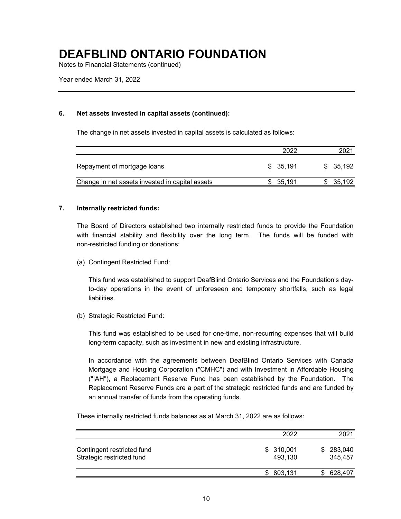Notes to Financial Statements (continued)

Year ended March 31, 2022

#### **6. Net assets invested in capital assets (continued):**

The change in net assets invested in capital assets is calculated as follows:

|                                                 | 2022     | 2021     |
|-------------------------------------------------|----------|----------|
| Repayment of mortgage loans                     | \$35,191 | \$35,192 |
| Change in net assets invested in capital assets | \$35,191 | \$35,192 |

#### **7. Internally restricted funds:**

The Board of Directors established two internally restricted funds to provide the Foundation with financial stability and flexibility over the long term. The funds will be funded with non-restricted funding or donations:

(a) Contingent Restricted Fund:

This fund was established to support DeafBlind Ontario Services and the Foundation's dayto-day operations in the event of unforeseen and temporary shortfalls, such as legal liabilities.

(b) Strategic Restricted Fund:

This fund was established to be used for one-time, non-recurring expenses that will build long-term capacity, such as investment in new and existing infrastructure.

In accordance with the agreements between DeafBlind Ontario Services with Canada Mortgage and Housing Corporation ("CMHC") and with Investment in Affordable Housing ("IAH"), a Replacement Reserve Fund has been established by the Foundation. The Replacement Reserve Funds are a part of the strategic restricted funds and are funded by an annual transfer of funds from the operating funds.

These internally restricted funds balances as at March 31, 2022 are as follows:

|                                                         | 2022                 | 2021                 |
|---------------------------------------------------------|----------------------|----------------------|
| Contingent restricted fund<br>Strategic restricted fund | \$310,001<br>493,130 | \$283,040<br>345,457 |
|                                                         | \$803,131            | 628,497              |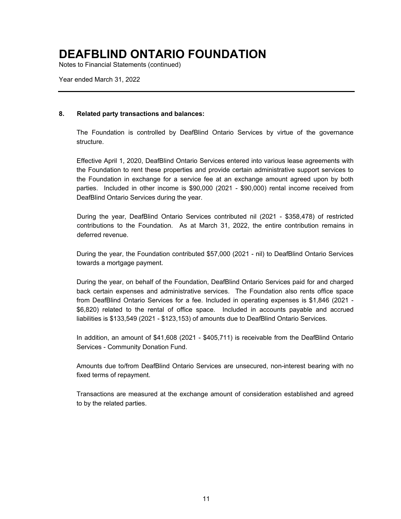Notes to Financial Statements (continued)

Year ended March 31, 2022

#### **8. Related party transactions and balances:**

The Foundation is controlled by DeafBlind Ontario Services by virtue of the governance structure.

Effective April 1, 2020, DeafBlind Ontario Services entered into various lease agreements with the Foundation to rent these properties and provide certain administrative support services to the Foundation in exchange for a service fee at an exchange amount agreed upon by both parties. Included in other income is \$90,000 (2021 - \$90,000) rental income received from DeafBlind Ontario Services during the year.

During the year, DeafBlind Ontario Services contributed nil (2021 - \$358,478) of restricted contributions to the Foundation. As at March 31, 2022, the entire contribution remains in deferred revenue.

During the year, the Foundation contributed \$57,000 (2021 - nil) to DeafBlind Ontario Services towards a mortgage payment.

During the year, on behalf of the Foundation, DeafBlind Ontario Services paid for and charged back certain expenses and administrative services. The Foundation also rents office space from DeafBlind Ontario Services for a fee. Included in operating expenses is \$1,846 (2021 - \$6,820) related to the rental of office space. Included in accounts payable and accrued liabilities is \$133,549 (2021 - \$123,153) of amounts due to DeafBlind Ontario Services.

In addition, an amount of \$41,608 (2021 - \$405,711) is receivable from the DeafBlind Ontario Services - Community Donation Fund.

Amounts due to/from DeafBlind Ontario Services are unsecured, non-interest bearing with no fixed terms of repayment.

Transactions are measured at the exchange amount of consideration established and agreed to by the related parties.